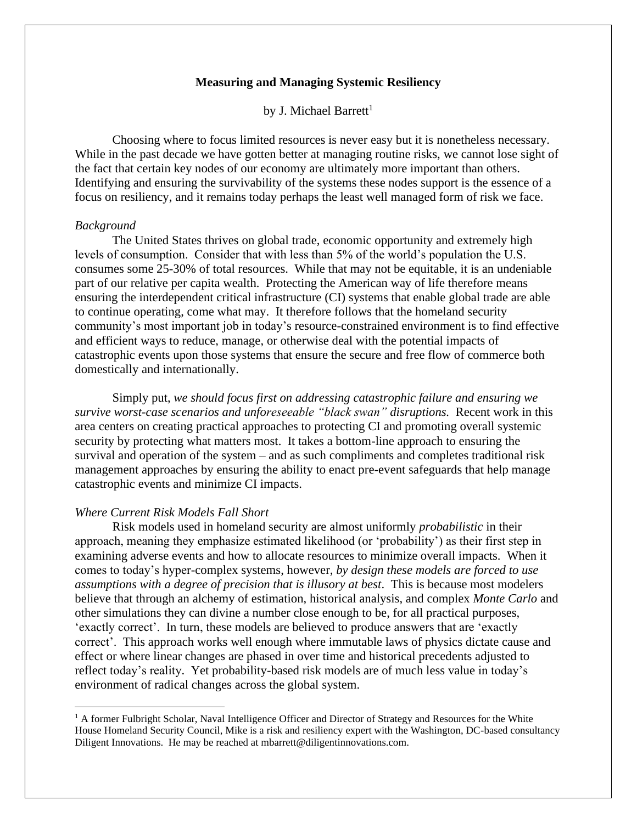# **Measuring and Managing Systemic Resiliency**

by J. Michael Barrett<sup>1</sup>

Choosing where to focus limited resources is never easy but it is nonetheless necessary. While in the past decade we have gotten better at managing routine risks, we cannot lose sight of the fact that certain key nodes of our economy are ultimately more important than others. Identifying and ensuring the survivability of the systems these nodes support is the essence of a focus on resiliency, and it remains today perhaps the least well managed form of risk we face.

# *Background*

The United States thrives on global trade, economic opportunity and extremely high levels of consumption. Consider that with less than 5% of the world's population the U.S. consumes some 25-30% of total resources. While that may not be equitable, it is an undeniable part of our relative per capita wealth. Protecting the American way of life therefore means ensuring the interdependent critical infrastructure (CI) systems that enable global trade are able to continue operating, come what may. It therefore follows that the homeland security community's most important job in today's resource-constrained environment is to find effective and efficient ways to reduce, manage, or otherwise deal with the potential impacts of catastrophic events upon those systems that ensure the secure and free flow of commerce both domestically and internationally.

Simply put, *we should focus first on addressing catastrophic failure and ensuring we survive worst-case scenarios and unforeseeable "black swan" disruptions.* Recent work in this area centers on creating practical approaches to protecting CI and promoting overall systemic security by protecting what matters most. It takes a bottom-line approach to ensuring the survival and operation of the system – and as such compliments and completes traditional risk management approaches by ensuring the ability to enact pre-event safeguards that help manage catastrophic events and minimize CI impacts.

## *Where Current Risk Models Fall Short*

Risk models used in homeland security are almost uniformly *probabilistic* in their approach, meaning they emphasize estimated likelihood (or 'probability') as their first step in examining adverse events and how to allocate resources to minimize overall impacts. When it comes to today's hyper-complex systems, however, *by design these models are forced to use assumptions with a degree of precision that is illusory at best*. This is because most modelers believe that through an alchemy of estimation, historical analysis, and complex *Monte Carlo* and other simulations they can divine a number close enough to be, for all practical purposes, 'exactly correct'. In turn, these models are believed to produce answers that are 'exactly correct'. This approach works well enough where immutable laws of physics dictate cause and effect or where linear changes are phased in over time and historical precedents adjusted to reflect today's reality. Yet probability-based risk models are of much less value in today's environment of radical changes across the global system.

<sup>&</sup>lt;sup>1</sup> A former Fulbright Scholar, Naval Intelligence Officer and Director of Strategy and Resources for the White House Homeland Security Council, Mike is a risk and resiliency expert with the Washington, DC-based consultancy Diligent Innovations. He may be reached at mbarrett@diligentinnovations.com.